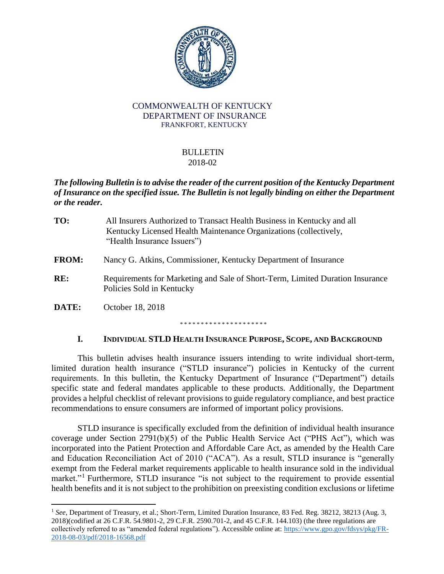

#### COMMONWEALTH OF KENTUCKY DEPARTMENT OF INSURANCE FRANKFORT, KENTUCKY

#### BULLETIN 2018-02

## *The following Bulletin is to advise the reader of the current position of the Kentucky Department of Insurance on the specified issue. The Bulletin is not legally binding on either the Department or the reader.*

| TO:          | All Insurers Authorized to Transact Health Business in Kentucky and all<br>Kentucky Licensed Health Maintenance Organizations (collectively,<br>"Health Insurance Issuers") |
|--------------|-----------------------------------------------------------------------------------------------------------------------------------------------------------------------------|
| <b>FROM:</b> | Nancy G. Atkins, Commissioner, Kentucky Department of Insurance                                                                                                             |
| RE:          | Requirements for Marketing and Sale of Short-Term, Limited Duration Insurance<br>Policies Sold in Kentucky                                                                  |
| DATE:        | October 18, 2018                                                                                                                                                            |
|              |                                                                                                                                                                             |

## **I. INDIVIDUAL STLD HEALTH INSURANCE PURPOSE, SCOPE, AND BACKGROUND**

This bulletin advises health insurance issuers intending to write individual short-term, limited duration health insurance ("STLD insurance") policies in Kentucky of the current requirements. In this bulletin, the Kentucky Department of Insurance ("Department") details specific state and federal mandates applicable to these products. Additionally, the Department provides a helpful checklist of relevant provisions to guide regulatory compliance, and best practice recommendations to ensure consumers are informed of important policy provisions.

STLD insurance is specifically excluded from the definition of individual health insurance coverage under Section 2791(b)(5) of the Public Health Service Act ("PHS Act"), which was incorporated into the Patient Protection and Affordable Care Act, as amended by the Health Care and Education Reconciliation Act of 2010 ("ACA"). As a result, STLD insurance is "generally exempt from the Federal market requirements applicable to health insurance sold in the individual market."<sup>1</sup> Furthermore, STLD insurance "is not subject to the requirement to provide essential health benefits and it is not subject to the prohibition on preexisting condition exclusions or lifetime

 $\overline{\phantom{a}}$ 

<sup>1</sup> *See*, Department of Treasury, et al.; Short-Term, Limited Duration Insurance, 83 Fed. Reg. 38212, 38213 (Aug. 3, 2018)(codified at 26 C.F.R. 54.9801-2, 29 C.F.R. 2590.701-2, and 45 C.F.R. 144.103) (the three regulations are collectively referred to as "amended federal regulations"). Accessible online at[: https://www.gpo.gov/fdsys/pkg/FR-](https://www.gpo.gov/fdsys/pkg/FR-2018-08-03/pdf/2018-16568.pdf)[2018-08-03/pdf/2018-16568.pdf](https://www.gpo.gov/fdsys/pkg/FR-2018-08-03/pdf/2018-16568.pdf)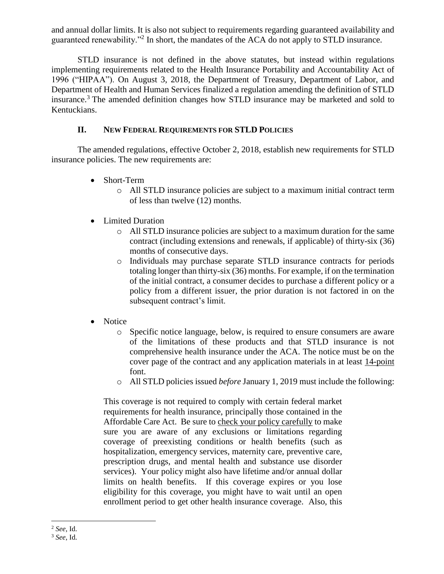and annual dollar limits. It is also not subject to requirements regarding guaranteed availability and guaranteed renewability."<sup>2</sup> In short, the mandates of the ACA do not apply to STLD insurance.

STLD insurance is not defined in the above statutes, but instead within regulations implementing requirements related to the Health Insurance Portability and Accountability Act of 1996 ("HIPAA"). On August 3, 2018, the Department of Treasury, Department of Labor, and Department of Health and Human Services finalized a regulation amending the definition of STLD insurance.<sup>3</sup> The amended definition changes how STLD insurance may be marketed and sold to Kentuckians.

#### **II. NEW FEDERAL REQUIREMENTS FOR STLD POLICIES**

The amended regulations, effective October 2, 2018, establish new requirements for STLD insurance policies. The new requirements are:

- Short-Term
	- o All STLD insurance policies are subject to a maximum initial contract term of less than twelve (12) months.
- Limited Duration
	- o All STLD insurance policies are subject to a maximum duration for the same contract (including extensions and renewals, if applicable) of thirty-six (36) months of consecutive days.
	- o Individuals may purchase separate STLD insurance contracts for periods totaling longer than thirty-six (36) months. For example, if on the termination of the initial contract, a consumer decides to purchase a different policy or a policy from a different issuer, the prior duration is not factored in on the subsequent contract's limit.
- Notice
	- o Specific notice language, below, is required to ensure consumers are aware of the limitations of these products and that STLD insurance is not comprehensive health insurance under the ACA. The notice must be on the cover page of the contract and any application materials in at least 14-point font.
	- o All STLD policies issued *before* January 1, 2019 must include the following:

This coverage is not required to comply with certain federal market requirements for health insurance, principally those contained in the Affordable Care Act. Be sure to check your policy carefully to make sure you are aware of any exclusions or limitations regarding coverage of preexisting conditions or health benefits (such as hospitalization, emergency services, maternity care, preventive care, prescription drugs, and mental health and substance use disorder services). Your policy might also have lifetime and/or annual dollar limits on health benefits. If this coverage expires or you lose eligibility for this coverage, you might have to wait until an open enrollment period to get other health insurance coverage. Also, this

l

<sup>2</sup> *See*, Id.

<sup>3</sup> *See*, Id.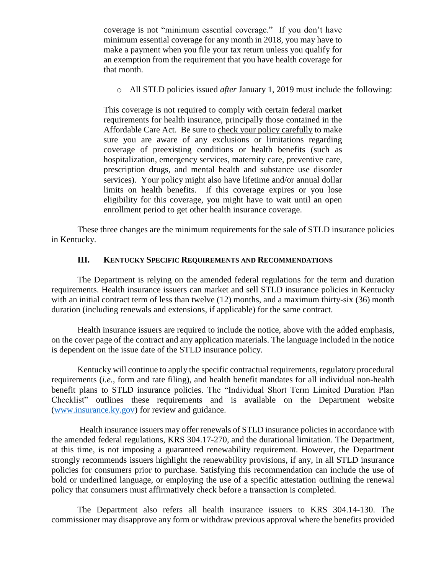coverage is not "minimum essential coverage." If you don't have minimum essential coverage for any month in 2018, you may have to make a payment when you file your tax return unless you qualify for an exemption from the requirement that you have health coverage for that month.

o All STLD policies issued *after* January 1, 2019 must include the following:

This coverage is not required to comply with certain federal market requirements for health insurance, principally those contained in the Affordable Care Act. Be sure to check your policy carefully to make sure you are aware of any exclusions or limitations regarding coverage of preexisting conditions or health benefits (such as hospitalization, emergency services, maternity care, preventive care, prescription drugs, and mental health and substance use disorder services). Your policy might also have lifetime and/or annual dollar limits on health benefits. If this coverage expires or you lose eligibility for this coverage, you might have to wait until an open enrollment period to get other health insurance coverage.

These three changes are the minimum requirements for the sale of STLD insurance policies in Kentucky.

#### **III. KENTUCKY SPECIFIC REQUIREMENTS AND RECOMMENDATIONS**

The Department is relying on the amended federal regulations for the term and duration requirements. Health insurance issuers can market and sell STLD insurance policies in Kentucky with an initial contract term of less than twelve (12) months, and a maximum thirty-six (36) month duration (including renewals and extensions, if applicable) for the same contract.

Health insurance issuers are required to include the notice, above with the added emphasis, on the cover page of the contract and any application materials. The language included in the notice is dependent on the issue date of the STLD insurance policy.

Kentucky will continue to apply the specific contractual requirements, regulatory procedural requirements (*i.e.*, form and rate filing), and health benefit mandates for all individual non-health benefit plans to STLD insurance policies. The "Individual Short Term Limited Duration Plan Checklist" outlines these requirements and is available on the Department website [\(www.insurance.ky.gov\)](http://www.insurance.ky.gov/) for review and guidance.

Health insurance issuers may offer renewals of STLD insurance policies in accordance with the amended federal regulations, KRS 304.17-270, and the durational limitation. The Department, at this time, is not imposing a guaranteed renewability requirement. However, the Department strongly recommends issuers highlight the renewability provisions, if any, in all STLD insurance policies for consumers prior to purchase. Satisfying this recommendation can include the use of bold or underlined language, or employing the use of a specific attestation outlining the renewal policy that consumers must affirmatively check before a transaction is completed.

The Department also refers all health insurance issuers to KRS 304.14-130. The commissioner may disapprove any form or withdraw previous approval where the benefits provided